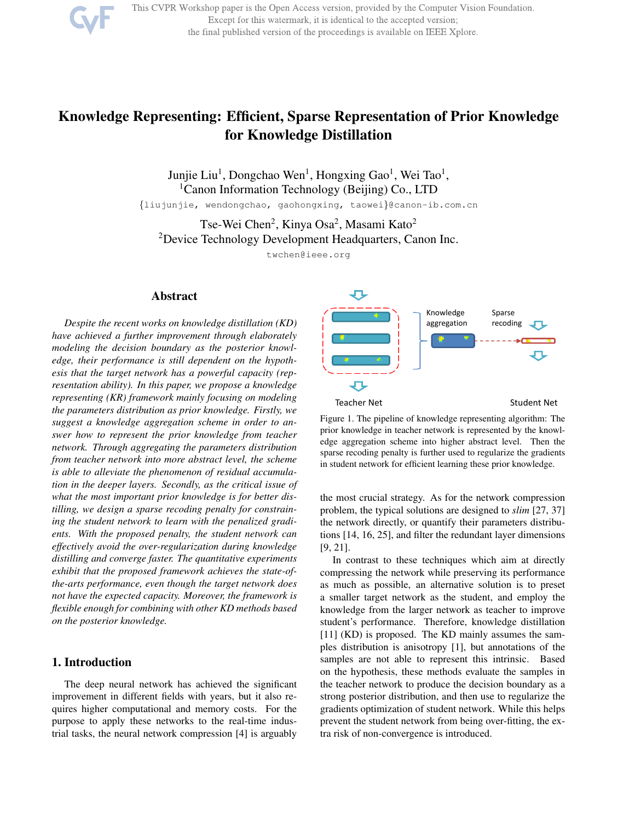

This CVPR Workshop paper is the Open Access version, provided by the Computer Vision Foundation. Except for this watermark, it is identical to the accepted version; the final published version of the proceedings is available on IEEE Xplore.

# Knowledge Representing: Efficient, Sparse Representation of Prior Knowledge for Knowledge Distillation

Junjie Liu<sup>1</sup>, Dongchao Wen<sup>1</sup>, Hongxing Gao<sup>1</sup>, Wei Tao<sup>1</sup>, <sup>1</sup>Canon Information Technology (Beijing) Co., LTD

{liujunjie, wendongchao, gaohongxing, taowei}@canon-ib.com.cn

Tse-Wei Chen<sup>2</sup>, Kinya Osa<sup>2</sup>, Masami Kato<sup>2</sup> <sup>2</sup>Device Technology Development Headquarters, Canon Inc.

twchen@ieee.org

## Abstract

*Despite the recent works on knowledge distillation (KD) have achieved a further improvement through elaborately modeling the decision boundary as the posterior knowledge, their performance is still dependent on the hypothesis that the target network has a powerful capacity (representation ability). In this paper, we propose a knowledge representing (KR) framework mainly focusing on modeling the parameters distribution as prior knowledge. Firstly, we suggest a knowledge aggregation scheme in order to answer how to represent the prior knowledge from teacher network. Through aggregating the parameters distribution from teacher network into more abstract level, the scheme is able to alleviate the phenomenon of residual accumulation in the deeper layers. Secondly, as the critical issue of what the most important prior knowledge is for better distilling, we design a sparse recoding penalty for constraining the student network to learn with the penalized gradients. With the proposed penalty, the student network can effectively avoid the over-regularization during knowledge distilling and converge faster. The quantitative experiments exhibit that the proposed framework achieves the state-ofthe-arts performance, even though the target network does not have the expected capacity. Moreover, the framework is flexible enough for combining with other KD methods based on the posterior knowledge.*

## 1. Introduction

The deep neural network has achieved the significant improvement in different fields with years, but it also requires higher computational and memory costs. For the purpose to apply these networks to the real-time industrial tasks, the neural network compression [4] is arguably



Figure 1. The pipeline of knowledge representing algorithm: The prior knowledge in teacher network is represented by the knowledge aggregation scheme into higher abstract level. Then the sparse recoding penalty is further used to regularize the gradients in student network for efficient learning these prior knowledge.

the most crucial strategy. As for the network compression problem, the typical solutions are designed to *slim* [27, 37] the network directly, or quantify their parameters distributions [14, 16, 25], and filter the redundant layer dimensions [9, 21].

In contrast to these techniques which aim at directly compressing the network while preserving its performance as much as possible, an alternative solution is to preset a smaller target network as the student, and employ the knowledge from the larger network as teacher to improve student's performance. Therefore, knowledge distillation [11] (KD) is proposed. The KD mainly assumes the samples distribution is anisotropy [1], but annotations of the samples are not able to represent this intrinsic. Based on the hypothesis, these methods evaluate the samples in the teacher network to produce the decision boundary as a strong posterior distribution, and then use to regularize the gradients optimization of student network. While this helps prevent the student network from being over-fitting, the extra risk of non-convergence is introduced.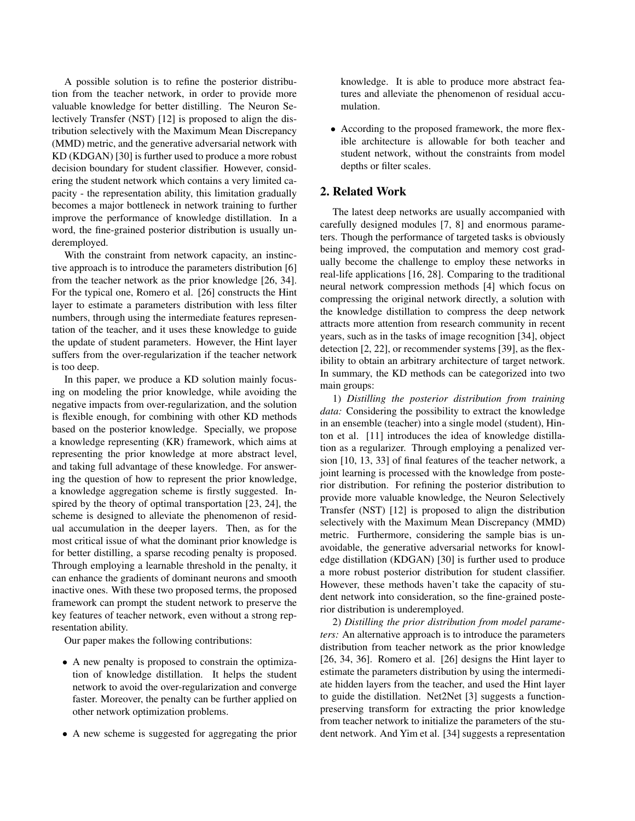A possible solution is to refine the posterior distribution from the teacher network, in order to provide more valuable knowledge for better distilling. The Neuron Selectively Transfer (NST) [12] is proposed to align the distribution selectively with the Maximum Mean Discrepancy (MMD) metric, and the generative adversarial network with KD (KDGAN) [30] is further used to produce a more robust decision boundary for student classifier. However, considering the student network which contains a very limited capacity - the representation ability, this limitation gradually becomes a major bottleneck in network training to further improve the performance of knowledge distillation. In a word, the fine-grained posterior distribution is usually underemployed.

With the constraint from network capacity, an instinctive approach is to introduce the parameters distribution [6] from the teacher network as the prior knowledge [26, 34]. For the typical one, Romero et al. [26] constructs the Hint layer to estimate a parameters distribution with less filter numbers, through using the intermediate features representation of the teacher, and it uses these knowledge to guide the update of student parameters. However, the Hint layer suffers from the over-regularization if the teacher network is too deep.

In this paper, we produce a KD solution mainly focusing on modeling the prior knowledge, while avoiding the negative impacts from over-regularization, and the solution is flexible enough, for combining with other KD methods based on the posterior knowledge. Specially, we propose a knowledge representing (KR) framework, which aims at representing the prior knowledge at more abstract level, and taking full advantage of these knowledge. For answering the question of how to represent the prior knowledge, a knowledge aggregation scheme is firstly suggested. Inspired by the theory of optimal transportation [23, 24], the scheme is designed to alleviate the phenomenon of residual accumulation in the deeper layers. Then, as for the most critical issue of what the dominant prior knowledge is for better distilling, a sparse recoding penalty is proposed. Through employing a learnable threshold in the penalty, it can enhance the gradients of dominant neurons and smooth inactive ones. With these two proposed terms, the proposed framework can prompt the student network to preserve the key features of teacher network, even without a strong representation ability.

Our paper makes the following contributions:

- A new penalty is proposed to constrain the optimization of knowledge distillation. It helps the student network to avoid the over-regularization and converge faster. Moreover, the penalty can be further applied on other network optimization problems.
- A new scheme is suggested for aggregating the prior

knowledge. It is able to produce more abstract features and alleviate the phenomenon of residual accumulation.

• According to the proposed framework, the more flexible architecture is allowable for both teacher and student network, without the constraints from model depths or filter scales.

## 2. Related Work

The latest deep networks are usually accompanied with carefully designed modules [7, 8] and enormous parameters. Though the performance of targeted tasks is obviously being improved, the computation and memory cost gradually become the challenge to employ these networks in real-life applications [16, 28]. Comparing to the traditional neural network compression methods [4] which focus on compressing the original network directly, a solution with the knowledge distillation to compress the deep network attracts more attention from research community in recent years, such as in the tasks of image recognition [34], object detection [2, 22], or recommender systems [39], as the flexibility to obtain an arbitrary architecture of target network. In summary, the KD methods can be categorized into two main groups:

1) *Distilling the posterior distribution from training data:* Considering the possibility to extract the knowledge in an ensemble (teacher) into a single model (student), Hinton et al. [11] introduces the idea of knowledge distillation as a regularizer. Through employing a penalized version [10, 13, 33] of final features of the teacher network, a joint learning is processed with the knowledge from posterior distribution. For refining the posterior distribution to provide more valuable knowledge, the Neuron Selectively Transfer (NST) [12] is proposed to align the distribution selectively with the Maximum Mean Discrepancy (MMD) metric. Furthermore, considering the sample bias is unavoidable, the generative adversarial networks for knowledge distillation (KDGAN) [30] is further used to produce a more robust posterior distribution for student classifier. However, these methods haven't take the capacity of student network into consideration, so the fine-grained posterior distribution is underemployed.

2) *Distilling the prior distribution from model parameters:* An alternative approach is to introduce the parameters distribution from teacher network as the prior knowledge [26, 34, 36]. Romero et al. [26] designs the Hint layer to estimate the parameters distribution by using the intermediate hidden layers from the teacher, and used the Hint layer to guide the distillation. Net2Net [3] suggests a functionpreserving transform for extracting the prior knowledge from teacher network to initialize the parameters of the student network. And Yim et al. [34] suggests a representation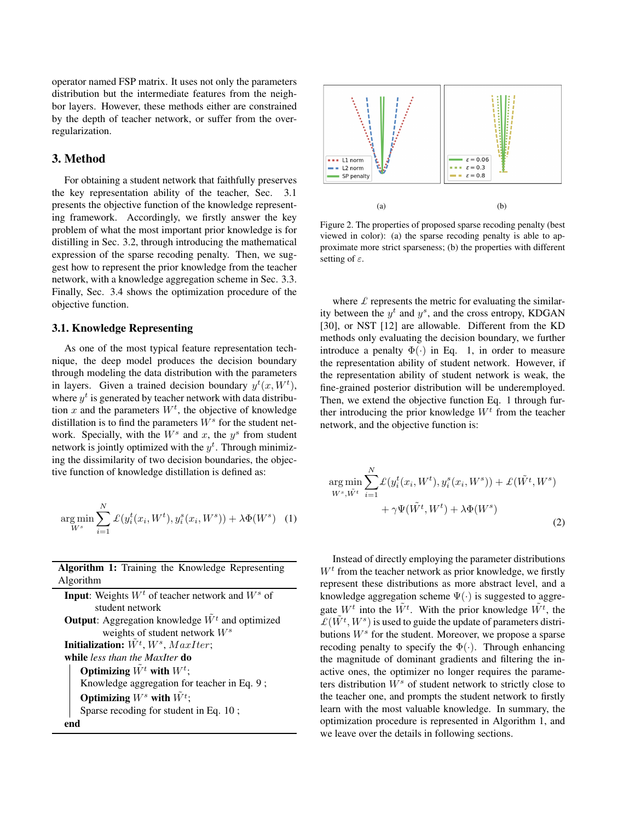operator named FSP matrix. It uses not only the parameters distribution but the intermediate features from the neighbor layers. However, these methods either are constrained by the depth of teacher network, or suffer from the overregularization.

## 3. Method

For obtaining a student network that faithfully preserves the key representation ability of the teacher, Sec. 3.1 presents the objective function of the knowledge representing framework. Accordingly, we firstly answer the key problem of what the most important prior knowledge is for distilling in Sec. 3.2, through introducing the mathematical expression of the sparse recoding penalty. Then, we suggest how to represent the prior knowledge from the teacher network, with a knowledge aggregation scheme in Sec. 3.3. Finally, Sec. 3.4 shows the optimization procedure of the objective function.

## 3.1. Knowledge Representing

As one of the most typical feature representation technique, the deep model produces the decision boundary through modeling the data distribution with the parameters in layers. Given a trained decision boundary  $y^t(x, W^t)$ , where  $y^t$  is generated by teacher network with data distribution x and the parameters  $W<sup>t</sup>$ , the objective of knowledge distillation is to find the parameters  $W^s$  for the student network. Specially, with the  $W^s$  and x, the  $y^s$  from student network is jointly optimized with the  $y<sup>t</sup>$ . Through minimizing the dissimilarity of two decision boundaries, the objective function of knowledge distillation is defined as:

$$
\underset{W^s}{\arg\min} \sum_{i=1}^{N} \mathcal{L}(y_i^t(x_i, W^t), y_i^s(x_i, W^s)) + \lambda \Phi(W^s) \quad (1)
$$

Algorithm 1: Training the Knowledge Representing Algorithm

**Input:** Weights  $W<sup>t</sup>$  of teacher network and  $W<sup>s</sup>$  of student network **Output:** Aggregation knowledge  $\tilde{W}^t$  and optimized weights of student network  $W^s$ Initialization:  $\tilde{W^t}$ ,  $W^s$ ,  $MaxIter;$ while *less than the MaxIter* do Optimizing  $\tilde{W^t}$  with  $W^t$ ; Knowledge aggregation for teacher in Eq. 9 ; Optimizing  $W^s$  with  $\tilde{W^t}$ ; Sparse recoding for student in Eq. 10 ; end



Figure 2. The properties of proposed sparse recoding penalty (best viewed in color): (a) the sparse recoding penalty is able to approximate more strict sparseness; (b) the properties with different setting of  $\varepsilon$ .

where  $\mathcal L$  represents the metric for evaluating the similarity between the  $y<sup>t</sup>$  and  $y<sup>s</sup>$ , and the cross entropy, KDGAN [30], or NST [12] are allowable. Different from the KD methods only evaluating the decision boundary, we further introduce a penalty  $\Phi(\cdot)$  in Eq. 1, in order to measure the representation ability of student network. However, if the representation ability of student network is weak, the fine-grained posterior distribution will be underemployed. Then, we extend the objective function Eq. 1 through further introducing the prior knowledge  $W<sup>t</sup>$  from the teacher network, and the objective function is:

$$
\arg\min_{W^s, \tilde{W}^t} \sum_{i=1}^N \mathcal{L}(y_i^t(x_i, W^t), y_i^s(x_i, W^s)) + \mathcal{L}(\tilde{W}^t, W^s) + \gamma \Psi(\tilde{W}^t, W^t) + \lambda \Phi(W^s)
$$
\n(2)

Instead of directly employing the parameter distributions  $W<sup>t</sup>$  from the teacher network as prior knowledge, we firstly represent these distributions as more abstract level, and a knowledge aggregation scheme  $\Psi(\cdot)$  is suggested to aggregate  $W^t$  into the  $\tilde{W}^t$ . With the prior knowledge  $\tilde{W}^t$ , the  $L(\tilde{W}^t, W^s)$  is used to guide the update of parameters distributions  $W^s$  for the student. Moreover, we propose a sparse recoding penalty to specify the  $\Phi(\cdot)$ . Through enhancing the magnitude of dominant gradients and filtering the inactive ones, the optimizer no longer requires the parameters distribution  $W^s$  of student network to strictly close to the teacher one, and prompts the student network to firstly learn with the most valuable knowledge. In summary, the optimization procedure is represented in Algorithm 1, and we leave over the details in following sections.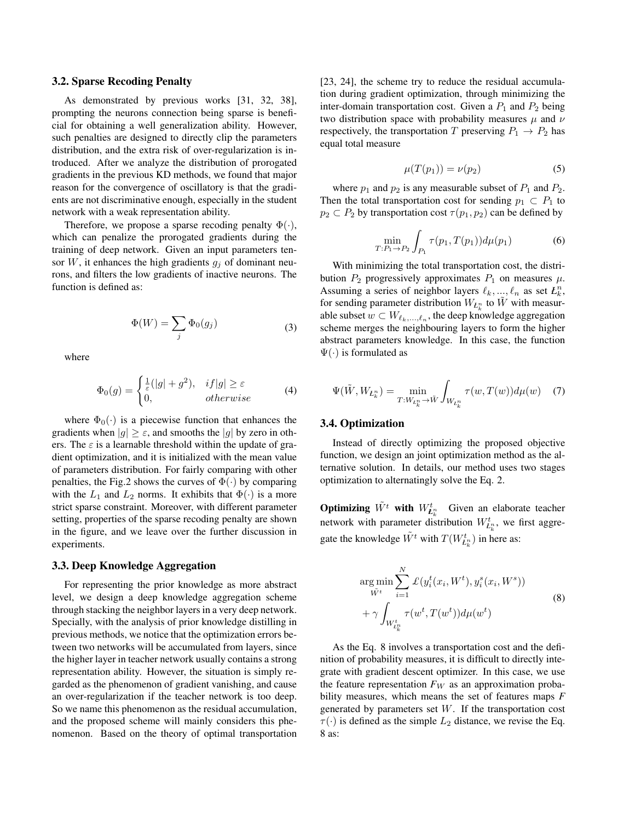#### 3.2. Sparse Recoding Penalty

As demonstrated by previous works [31, 32, 38], prompting the neurons connection being sparse is beneficial for obtaining a well generalization ability. However, such penalties are designed to directly clip the parameters distribution, and the extra risk of over-regularization is introduced. After we analyze the distribution of prorogated gradients in the previous KD methods, we found that major reason for the convergence of oscillatory is that the gradients are not discriminative enough, especially in the student network with a weak representation ability.

Therefore, we propose a sparse recoding penalty  $\Phi(\cdot)$ , which can penalize the prorogated gradients during the training of deep network. Given an input parameters tensor  $W$ , it enhances the high gradients  $g_i$  of dominant neurons, and filters the low gradients of inactive neurons. The function is defined as:

$$
\Phi(W) = \sum_{j} \Phi_0(g_j) \tag{3}
$$

where

$$
\Phi_0(g) = \begin{cases} \frac{1}{\varepsilon}(|g| + g^2), & if |g| \ge \varepsilon \\ 0, & otherwise \end{cases}
$$
 (4)

where  $\Phi_0(\cdot)$  is a piecewise function that enhances the gradients when  $|g| \geq \varepsilon$ , and smooths the  $|g|$  by zero in others. The  $\varepsilon$  is a learnable threshold within the update of gradient optimization, and it is initialized with the mean value of parameters distribution. For fairly comparing with other penalties, the Fig.2 shows the curves of  $\Phi(\cdot)$  by comparing with the  $L_1$  and  $L_2$  norms. It exhibits that  $\Phi(\cdot)$  is a more strict sparse constraint. Moreover, with different parameter setting, properties of the sparse recoding penalty are shown in the figure, and we leave over the further discussion in experiments.

#### 3.3. Deep Knowledge Aggregation

For representing the prior knowledge as more abstract level, we design a deep knowledge aggregation scheme through stacking the neighbor layers in a very deep network. Specially, with the analysis of prior knowledge distilling in previous methods, we notice that the optimization errors between two networks will be accumulated from layers, since the higher layer in teacher network usually contains a strong representation ability. However, the situation is simply regarded as the phenomenon of gradient vanishing, and cause an over-regularization if the teacher network is too deep. So we name this phenomenon as the residual accumulation, and the proposed scheme will mainly considers this phenomenon. Based on the theory of optimal transportation [23, 24], the scheme try to reduce the residual accumulation during gradient optimization, through minimizing the inter-domain transportation cost. Given a  $P_1$  and  $P_2$  being two distribution space with probability measures  $\mu$  and  $\nu$ respectively, the transportation T preserving  $P_1 \rightarrow P_2$  has equal total measure

$$
\mu(T(p_1)) = \nu(p_2) \tag{5}
$$

where  $p_1$  and  $p_2$  is any measurable subset of  $P_1$  and  $P_2$ . Then the total transportation cost for sending  $p_1 \subset P_1$  to  $p_2 \subset P_2$  by transportation cost  $\tau(p_1, p_2)$  can be defined by

$$
\min_{T:P_1 \to P_2} \int_{P_1} \tau(p_1, T(p_1)) d\mu(p_1) \tag{6}
$$

With minimizing the total transportation cost, the distribution  $P_2$  progressively approximates  $P_1$  on measures  $\mu$ . Assuming a series of neighbor layers  $\ell_k, ..., \ell_n$  as set  $L_k^n$ , for sending parameter distribution  $W_{L_k^n}$  to  $\tilde{W}$  with measurable subset  $w \subset W_{\ell_k, \ldots, \ell_n},$  the deep knowledge aggregation scheme merges the neighbouring layers to form the higher abstract parameters knowledge. In this case, the function  $\Psi(\cdot)$  is formulated as

$$
\Psi(\tilde{W}, W_{L_k^n}) = \min_{T: W_{L_k^n} \to \tilde{W}} \int_{W_{L_k^n}} \tau(w, T(w)) d\mu(w) \quad (7)
$$

#### 3.4. Optimization

Instead of directly optimizing the proposed objective function, we design an joint optimization method as the alternative solution. In details, our method uses two stages optimization to alternatingly solve the Eq. 2.

**Optimizing**  $\tilde{W}^t$  with  $W_{E_k^n}^t$  Given an elaborate teacher network with parameter distribution  $W_{L_k^n}^t$ , we first aggregate the knowledge  $\tilde{W}^t$  with  $T(W_{L_k^n}^t)$  in here as:

$$
\arg\min_{\tilde{W}^t} \sum_{i=1}^N \mathcal{L}(y_i^t(x_i, W^t), y_i^s(x_i, W^s)) + \gamma \int_{W_{L_k^n}^t} \tau(w^t, T(w^t)) d\mu(w^t)
$$
\n(8)

As the Eq. 8 involves a transportation cost and the definition of probability measures, it is difficult to directly integrate with gradient descent optimizer. In this case, we use the feature representation  $F_W$  as an approximation probability measures, which means the set of features maps *F* generated by parameters set W. If the transportation cost  $\tau(\cdot)$  is defined as the simple  $L_2$  distance, we revise the Eq. 8 as: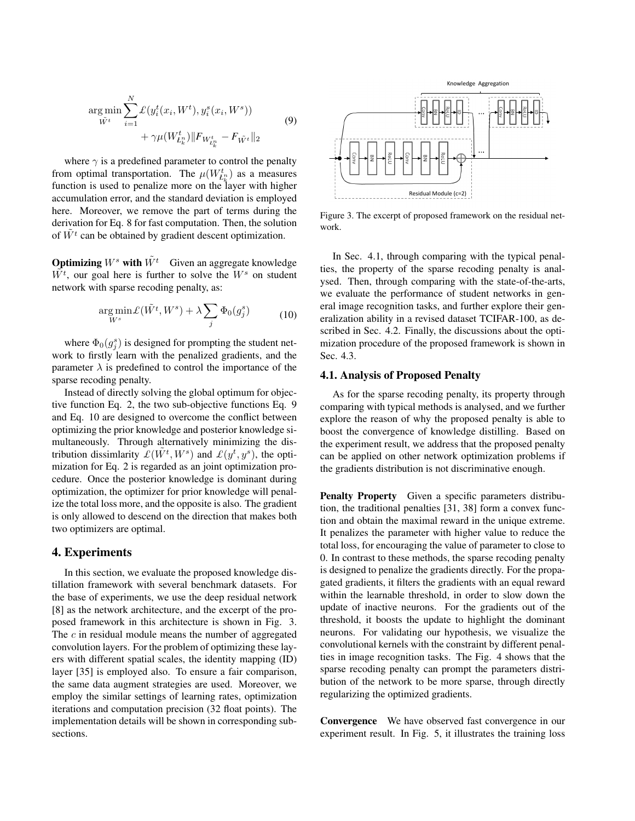$$
\arg\min_{\tilde{W}^t} \sum_{i=1}^N \mathcal{L}(y_i^t(x_i, W^t), y_i^s(x_i, W^s)) + \gamma \mu(W_{L_k^n}^t) \|F_{W_{L_k^n}^t} - F_{\tilde{W}^t}\|_2
$$
\n(9)

where  $\gamma$  is a predefined parameter to control the penalty from optimal transportation. The  $\mu(W_{L_k^n}^t)$  as a measures function is used to penalize more on the layer with higher accumulation error, and the standard deviation is employed here. Moreover, we remove the part of terms during the derivation for Eq. 8 for fast computation. Then, the solution of  $W<sup>t</sup>$  can be obtained by gradient descent optimization.

**Optimizing**  $W^s$  with  $\tilde{W}^t$  Given an aggregate knowledge  $\tilde{W^t}$ , our goal here is further to solve the  $W^s$  on student network with sparse recoding penalty, as:

$$
\underset{W^s}{\arg\min} \mathcal{L}(\tilde{W}^t, W^s) + \lambda \sum_j \Phi_0(g_j^s) \tag{10}
$$

where  $\Phi_0(g_j^s)$  is designed for prompting the student network to firstly learn with the penalized gradients, and the parameter  $\lambda$  is predefined to control the importance of the sparse recoding penalty.

Instead of directly solving the global optimum for objective function Eq. 2, the two sub-objective functions Eq. 9 and Eq. 10 are designed to overcome the conflict between optimizing the prior knowledge and posterior knowledge simultaneously. Through alternatively minimizing the distribution dissimlarity  $\mathcal{L}(\tilde{W}^t, W^s)$  and  $\mathcal{L}(y^t, y^s)$ , the optimization for Eq. 2 is regarded as an joint optimization procedure. Once the posterior knowledge is dominant during optimization, the optimizer for prior knowledge will penalize the total loss more, and the opposite is also. The gradient is only allowed to descend on the direction that makes both two optimizers are optimal.

## 4. Experiments

In this section, we evaluate the proposed knowledge distillation framework with several benchmark datasets. For the base of experiments, we use the deep residual network [8] as the network architecture, and the excerpt of the proposed framework in this architecture is shown in Fig. 3. The c in residual module means the number of aggregated convolution layers. For the problem of optimizing these layers with different spatial scales, the identity mapping (ID) layer [35] is employed also. To ensure a fair comparison, the same data augment strategies are used. Moreover, we employ the similar settings of learning rates, optimization iterations and computation precision (32 float points). The implementation details will be shown in corresponding subsections.



Figure 3. The excerpt of proposed framework on the residual network.

In Sec. 4.1, through comparing with the typical penalties, the property of the sparse recoding penalty is analysed. Then, through comparing with the state-of-the-arts, we evaluate the performance of student networks in general image recognition tasks, and further explore their generalization ability in a revised dataset TCIFAR-100, as described in Sec. 4.2. Finally, the discussions about the optimization procedure of the proposed framework is shown in Sec. 4.3.

## 4.1. Analysis of Proposed Penalty

As for the sparse recoding penalty, its property through comparing with typical methods is analysed, and we further explore the reason of why the proposed penalty is able to boost the convergence of knowledge distilling. Based on the experiment result, we address that the proposed penalty can be applied on other network optimization problems if the gradients distribution is not discriminative enough.

Penalty Property Given a specific parameters distribution, the traditional penalties [31, 38] form a convex function and obtain the maximal reward in the unique extreme. It penalizes the parameter with higher value to reduce the total loss, for encouraging the value of parameter to close to 0. In contrast to these methods, the sparse recoding penalty is designed to penalize the gradients directly. For the propagated gradients, it filters the gradients with an equal reward within the learnable threshold, in order to slow down the update of inactive neurons. For the gradients out of the threshold, it boosts the update to highlight the dominant neurons. For validating our hypothesis, we visualize the convolutional kernels with the constraint by different penalties in image recognition tasks. The Fig. 4 shows that the sparse recoding penalty can prompt the parameters distribution of the network to be more sparse, through directly regularizing the optimized gradients.

Convergence We have observed fast convergence in our experiment result. In Fig. 5, it illustrates the training loss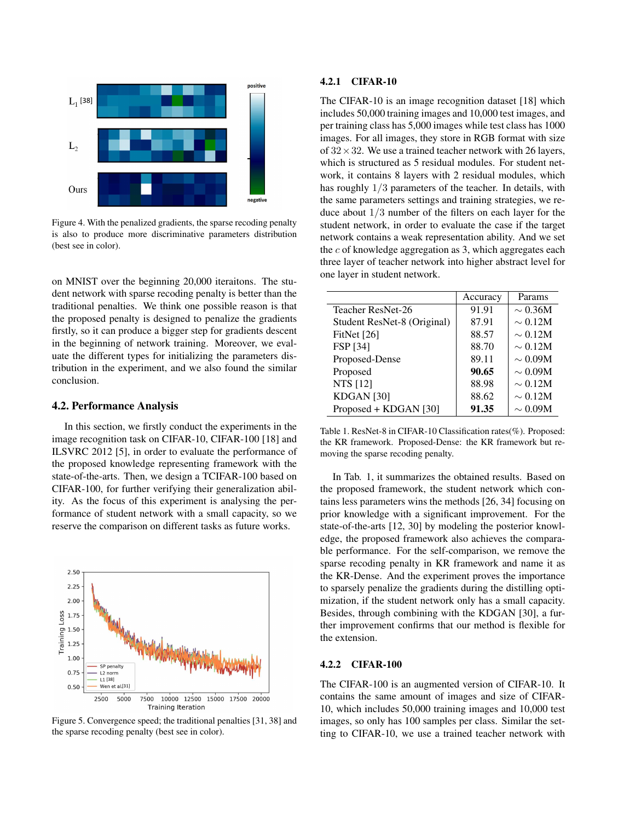

Figure 4. With the penalized gradients, the sparse recoding penalty is also to produce more discriminative parameters distribution (best see in color).

on MNIST over the beginning 20,000 iteraitons. The student network with sparse recoding penalty is better than the traditional penalties. We think one possible reason is that the proposed penalty is designed to penalize the gradients firstly, so it can produce a bigger step for gradients descent in the beginning of network training. Moreover, we evaluate the different types for initializing the parameters distribution in the experiment, and we also found the similar conclusion.

## 4.2. Performance Analysis

In this section, we firstly conduct the experiments in the image recognition task on CIFAR-10, CIFAR-100 [18] and ILSVRC 2012 [5], in order to evaluate the performance of the proposed knowledge representing framework with the state-of-the-arts. Then, we design a TCIFAR-100 based on CIFAR-100, for further verifying their generalization ability. As the focus of this experiment is analysing the performance of student network with a small capacity, so we reserve the comparison on different tasks as future works.



Figure 5. Convergence speed; the traditional penalties [31, 38] and the sparse recoding penalty (best see in color).

#### 4.2.1 CIFAR-10

The CIFAR-10 is an image recognition dataset [18] which includes 50,000 training images and 10,000 test images, and per training class has 5,000 images while test class has 1000 images. For all images, they store in RGB format with size of  $32 \times 32$ . We use a trained teacher network with 26 layers, which is structured as 5 residual modules. For student network, it contains 8 layers with 2 residual modules, which has roughly 1/3 parameters of the teacher. In details, with the same parameters settings and training strategies, we reduce about 1/3 number of the filters on each layer for the student network, in order to evaluate the case if the target network contains a weak representation ability. And we set the  $c$  of knowledge aggregation as 3, which aggregates each three layer of teacher network into higher abstract level for one layer in student network.

|                             | Accuracy | Params       |
|-----------------------------|----------|--------------|
| Teacher ResNet-26           | 91.91    | $\sim 0.36M$ |
| Student ResNet-8 (Original) | 87.91    | $\sim 0.12M$ |
| FitNet $[26]$               | 88.57    | $\sim 0.12M$ |
| <b>FSP</b> [34]             | 88.70    | $\sim 0.12M$ |
| Proposed-Dense              | 89.11    | $\sim 0.09M$ |
| Proposed                    | 90.65    | $\sim 0.09M$ |
| <b>NTS</b> [12]             | 88.98    | $\sim 0.12M$ |
| KDGAN <sup>[30]</sup>       | 88.62    | $\sim 0.12M$ |
| Proposed + KDGAN [30]       | 91.35    | $\sim 0.09M$ |
|                             |          |              |

Table 1. ResNet-8 in CIFAR-10 Classification rates(%). Proposed: the KR framework. Proposed-Dense: the KR framework but removing the sparse recoding penalty.

In Tab. 1, it summarizes the obtained results. Based on the proposed framework, the student network which contains less parameters wins the methods [26, 34] focusing on prior knowledge with a significant improvement. For the state-of-the-arts [12, 30] by modeling the posterior knowledge, the proposed framework also achieves the comparable performance. For the self-comparison, we remove the sparse recoding penalty in KR framework and name it as the KR-Dense. And the experiment proves the importance to sparsely penalize the gradients during the distilling optimization, if the student network only has a small capacity. Besides, through combining with the KDGAN [30], a further improvement confirms that our method is flexible for the extension.

#### 4.2.2 CIFAR-100

The CIFAR-100 is an augmented version of CIFAR-10. It contains the same amount of images and size of CIFAR-10, which includes 50,000 training images and 10,000 test images, so only has 100 samples per class. Similar the setting to CIFAR-10, we use a trained teacher network with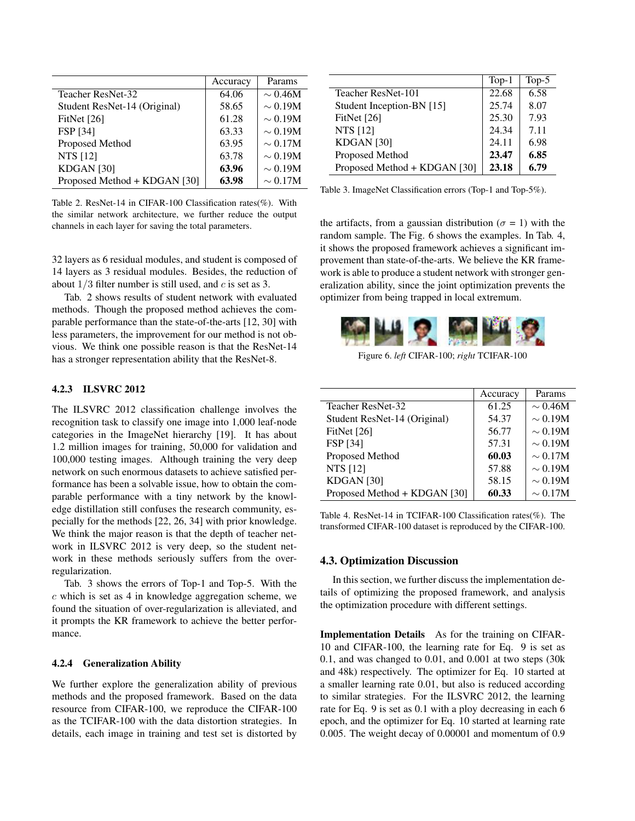|                              | Accuracy | Params       |
|------------------------------|----------|--------------|
| Teacher ResNet-32            | 64.06    | $\sim 0.46M$ |
| Student ResNet-14 (Original) | 58.65    | $\sim 0.19M$ |
| FitNet [26]                  | 61.28    | $\sim 0.19M$ |
| <b>FSP</b> [34]              | 63.33    | $\sim 0.19M$ |
| Proposed Method              | 63.95    | $\sim 0.17M$ |
| <b>NTS</b> [12]              | 63.78    | $\sim 0.19M$ |
| KDGAN <sub>[30]</sub>        | 63.96    | $\sim 0.19M$ |
| Proposed Method + KDGAN [30] | 63.98    | $\sim 0.17M$ |

Table 2. ResNet-14 in CIFAR-100 Classification rates(%). With the similar network architecture, we further reduce the output channels in each layer for saving the total parameters.

32 layers as 6 residual modules, and student is composed of 14 layers as 3 residual modules. Besides, the reduction of about  $1/3$  filter number is still used, and c is set as 3.

Tab. 2 shows results of student network with evaluated methods. Though the proposed method achieves the comparable performance than the state-of-the-arts [12, 30] with less parameters, the improvement for our method is not obvious. We think one possible reason is that the ResNet-14 has a stronger representation ability that the ResNet-8.

## 4.2.3 ILSVRC 2012

The ILSVRC 2012 classification challenge involves the recognition task to classify one image into 1,000 leaf-node categories in the ImageNet hierarchy [19]. It has about 1.2 million images for training, 50,000 for validation and 100,000 testing images. Although training the very deep network on such enormous datasets to achieve satisfied performance has been a solvable issue, how to obtain the comparable performance with a tiny network by the knowledge distillation still confuses the research community, especially for the methods [22, 26, 34] with prior knowledge. We think the major reason is that the depth of teacher network in ILSVRC 2012 is very deep, so the student network in these methods seriously suffers from the overregularization.

Tab. 3 shows the errors of Top-1 and Top-5. With the c which is set as 4 in knowledge aggregation scheme, we found the situation of over-regularization is alleviated, and it prompts the KR framework to achieve the better performance.

#### 4.2.4 Generalization Ability

We further explore the generalization ability of previous methods and the proposed framework. Based on the data resource from CIFAR-100, we reproduce the CIFAR-100 as the TCIFAR-100 with the data distortion strategies. In details, each image in training and test set is distorted by

|                              | $Top-1$ | Top- $5$ |
|------------------------------|---------|----------|
| Teacher ResNet-101           | 22.68   | 6.58     |
| Student Inception-BN [15]    | 25.74   | 8.07     |
| FitNet $[26]$                | 25.30   | 7.93     |
| <b>NTS</b> [12]              | 24.34   | 7.11     |
| KDGAN <sub>[30]</sub>        | 24.11   | 6.98     |
| Proposed Method              | 23.47   | 6.85     |
| Proposed Method + KDGAN [30] | 23.18   | 6.79     |

Table 3. ImageNet Classification errors (Top-1 and Top-5%).

the artifacts, from a gaussian distribution ( $\sigma = 1$ ) with the random sample. The Fig. 6 shows the examples. In Tab. 4, it shows the proposed framework achieves a significant improvement than state-of-the-arts. We believe the KR framework is able to produce a student network with stronger generalization ability, since the joint optimization prevents the optimizer from being trapped in local extremum.



Figure 6. *left* CIFAR-100; *right* TCIFAR-100

|                              | Accuracy | Params       |
|------------------------------|----------|--------------|
| Teacher ResNet-32            | 61.25    | $\sim 0.46M$ |
| Student ResNet-14 (Original) | 54.37    | $\sim 0.19M$ |
| FitNet $[26]$                | 56.77    | $\sim 0.19M$ |
| FSP [34]                     | 57.31    | $\sim 0.19M$ |
| Proposed Method              | 60.03    | $\sim 0.17M$ |
| <b>NTS</b> [12]              | 57.88    | $\sim 0.19M$ |
| KDGAN <sub>[30]</sub>        | 58.15    | $\sim 0.19M$ |
| Proposed Method + KDGAN [30] | 60.33    | $\sim 0.17M$ |

Table 4. ResNet-14 in TCIFAR-100 Classification rates(%). The transformed CIFAR-100 dataset is reproduced by the CIFAR-100.

#### 4.3. Optimization Discussion

In this section, we further discuss the implementation details of optimizing the proposed framework, and analysis the optimization procedure with different settings.

Implementation Details As for the training on CIFAR-10 and CIFAR-100, the learning rate for Eq. 9 is set as 0.1, and was changed to 0.01, and 0.001 at two steps (30k and 48k) respectively. The optimizer for Eq. 10 started at a smaller learning rate 0.01, but also is reduced according to similar strategies. For the ILSVRC 2012, the learning rate for Eq. 9 is set as 0.1 with a ploy decreasing in each 6 epoch, and the optimizer for Eq. 10 started at learning rate 0.005. The weight decay of 0.00001 and momentum of 0.9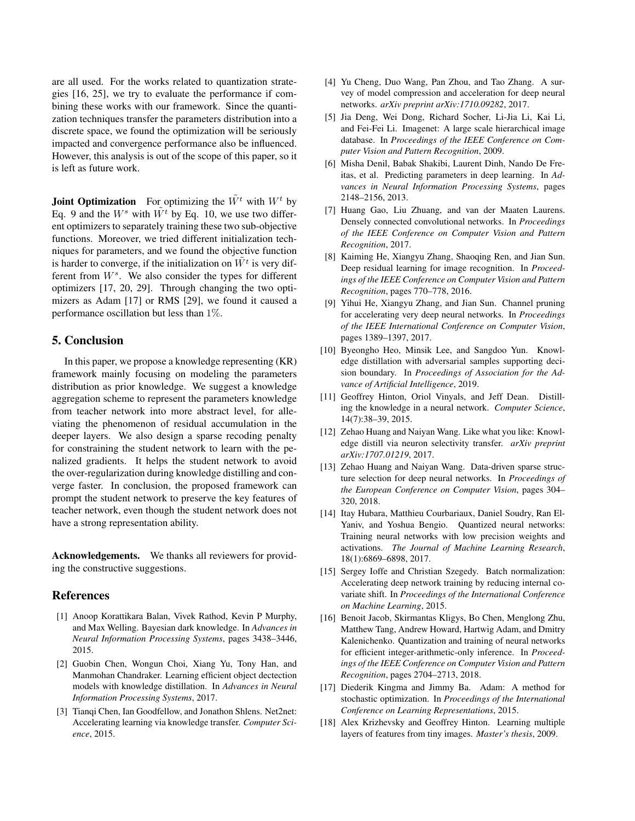are all used. For the works related to quantization strategies [16, 25], we try to evaluate the performance if combining these works with our framework. Since the quantization techniques transfer the parameters distribution into a discrete space, we found the optimization will be seriously impacted and convergence performance also be influenced. However, this analysis is out of the scope of this paper, so it is left as future work.

**Joint Optimization** For optimizing the  $\tilde{W}^t$  with  $W^t$  by Eq. 9 and the  $W^s$  with  $W^t$  by Eq. 10, we use two different optimizers to separately training these two sub-objective functions. Moreover, we tried different initialization techniques for parameters, and we found the objective function is harder to converge, if the initialization on  $\tilde{W}^t$  is very different from  $W^s$ . We also consider the types for different optimizers [17, 20, 29]. Through changing the two optimizers as Adam [17] or RMS [29], we found it caused a performance oscillation but less than 1%.

## 5. Conclusion

In this paper, we propose a knowledge representing (KR) framework mainly focusing on modeling the parameters distribution as prior knowledge. We suggest a knowledge aggregation scheme to represent the parameters knowledge from teacher network into more abstract level, for alleviating the phenomenon of residual accumulation in the deeper layers. We also design a sparse recoding penalty for constraining the student network to learn with the penalized gradients. It helps the student network to avoid the over-regularization during knowledge distilling and converge faster. In conclusion, the proposed framework can prompt the student network to preserve the key features of teacher network, even though the student network does not have a strong representation ability.

Acknowledgements. We thanks all reviewers for providing the constructive suggestions.

## **References**

- [1] Anoop Korattikara Balan, Vivek Rathod, Kevin P Murphy, and Max Welling. Bayesian dark knowledge. In *Advances in Neural Information Processing Systems*, pages 3438–3446, 2015.
- [2] Guobin Chen, Wongun Choi, Xiang Yu, Tony Han, and Manmohan Chandraker. Learning efficient object dectection models with knowledge distillation. In *Advances in Neural Information Processing Systems*, 2017.
- [3] Tianqi Chen, Ian Goodfellow, and Jonathon Shlens. Net2net: Accelerating learning via knowledge transfer. *Computer Science*, 2015.
- [4] Yu Cheng, Duo Wang, Pan Zhou, and Tao Zhang. A survey of model compression and acceleration for deep neural networks. *arXiv preprint arXiv:1710.09282*, 2017.
- [5] Jia Deng, Wei Dong, Richard Socher, Li-Jia Li, Kai Li, and Fei-Fei Li. Imagenet: A large scale hierarchical image database. In *Proceedings of the IEEE Conference on Computer Vision and Pattern Recognition*, 2009.
- [6] Misha Denil, Babak Shakibi, Laurent Dinh, Nando De Freitas, et al. Predicting parameters in deep learning. In *Advances in Neural Information Processing Systems*, pages 2148–2156, 2013.
- [7] Huang Gao, Liu Zhuang, and van der Maaten Laurens. Densely connected convolutional networks. In *Proceedings of the IEEE Conference on Computer Vision and Pattern Recognition*, 2017.
- [8] Kaiming He, Xiangyu Zhang, Shaoqing Ren, and Jian Sun. Deep residual learning for image recognition. In *Proceedings of the IEEE Conference on Computer Vision and Pattern Recognition*, pages 770–778, 2016.
- [9] Yihui He, Xiangyu Zhang, and Jian Sun. Channel pruning for accelerating very deep neural networks. In *Proceedings of the IEEE International Conference on Computer Vision*, pages 1389–1397, 2017.
- [10] Byeongho Heo, Minsik Lee, and Sangdoo Yun. Knowledge distillation with adversarial samples supporting decision boundary. In *Proceedings of Association for the Advance of Artificial Intelligence*, 2019.
- [11] Geoffrey Hinton, Oriol Vinyals, and Jeff Dean. Distilling the knowledge in a neural network. *Computer Science*, 14(7):38–39, 2015.
- [12] Zehao Huang and Naiyan Wang. Like what you like: Knowledge distill via neuron selectivity transfer. *arXiv preprint arXiv:1707.01219*, 2017.
- [13] Zehao Huang and Naiyan Wang. Data-driven sparse structure selection for deep neural networks. In *Proceedings of the European Conference on Computer Vision*, pages 304– 320, 2018.
- [14] Itay Hubara, Matthieu Courbariaux, Daniel Soudry, Ran El-Yaniv, and Yoshua Bengio. Quantized neural networks: Training neural networks with low precision weights and activations. *The Journal of Machine Learning Research*, 18(1):6869–6898, 2017.
- [15] Sergey Ioffe and Christian Szegedy. Batch normalization: Accelerating deep network training by reducing internal covariate shift. In *Proceedings of the International Conference on Machine Learning*, 2015.
- [16] Benoit Jacob, Skirmantas Kligys, Bo Chen, Menglong Zhu, Matthew Tang, Andrew Howard, Hartwig Adam, and Dmitry Kalenichenko. Quantization and training of neural networks for efficient integer-arithmetic-only inference. In *Proceedings of the IEEE Conference on Computer Vision and Pattern Recognition*, pages 2704–2713, 2018.
- [17] Diederik Kingma and Jimmy Ba. Adam: A method for stochastic optimization. In *Proceedings of the International Conference on Learning Representations*, 2015.
- [18] Alex Krizhevsky and Geoffrey Hinton. Learning multiple layers of features from tiny images. *Master's thesis*, 2009.